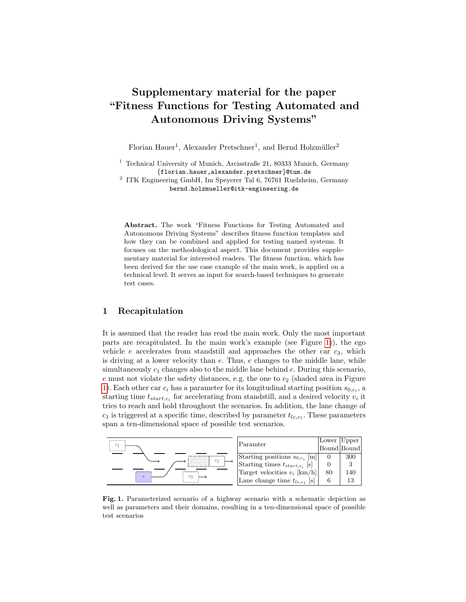# Supplementary material for the paper "Fitness Functions for Testing Automated and Autonomous Driving Systems"

Florian Hauer<sup>1</sup>, Alexander Pretschner<sup>1</sup>, and Bernd Holzmüller<sup>2</sup>

<sup>1</sup> Technical University of Munich, Arcisstraße 21, 80333 Munich, Germany {florian.hauer,alexander.pretschner}@tum.de

2 ITK Engineering GmbH, Im Speyerer Tal 6, 76761 Ruelzheim, Germany bernd.holzmueller@itk-engineering.de

Abstract. The work "Fitness Functions for Testing Automated and Autonomous Driving Systems" describes fitness function templates and how they can be combined and applied for testing named systems. It focuses on the methodological aspect. This document provides supplementary material for interested readers. The fitness function, which has been derived for the use case example of the main work, is applied on a technical level. It serves as input for search-based techniques to generate test cases.

## 1 Recapitulation

It is assumed that the reader has read the main work. Only the most important parts are recapitulated. In the main work's example (see Figure [1\)](#page-0-0)), the ego vehicle  $e$  accelerates from standstill and approaches the other car  $c_3$ , which is driving at a lower velocity than  $e$ . Thus,  $e$  changes to the middle lane, while simultaneously  $c_1$  changes also to the middle lane behind e. During this scenario, e must not violate the safety distances, e.g. the one to  $c_2$  (shaded area in Figure [1\)](#page-0-0). Each other car  $c_i$  has a parameter for its longitudinal starting position  $s_{0,c_i}$ , a starting time  $t_{start,c_i}$  for accelerating from standstill, and a desired velocity  $v_i$  it tries to reach and hold throughout the scenarios. In addition, the lane change of  $c_1$  is triggered at a specific time, described by parameter  $t_{lc,c_1}$ . These parameters span a ten-dimensional space of possible test scenarios.



<span id="page-0-0"></span>Fig. 1. Parameterized scenario of a highway scenario with a schematic depiction as well as parameters and their domains, resulting in a ten-dimensional space of possible test scenarios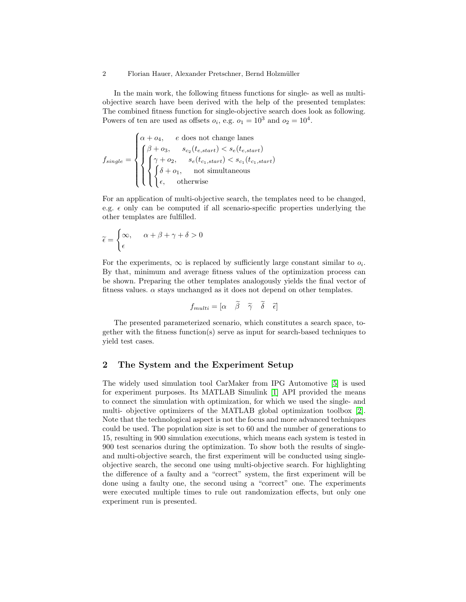#### 2 Florian Hauer, Alexander Pretschner, Bernd Holzmüller

In the main work, the following fitness functions for single- as well as multiobjective search have been derived with the help of the presented templates: The combined fitness function for single-objective search does look as following. Powers of ten are used as offsets  $o_i$ , e.g.  $o_1 = 10^3$  and  $o_2 = 10^4$ .

$$
f_{single} = \begin{cases} \alpha + o_4, & e \text{ does not change lanes} \\ \begin{cases} \beta + o_3, & s_{c_2}(t_{e, start}) < s_e(t_{e, start}) \\ \begin{cases} \gamma + o_2, & s_e(t_{c_1, start}) < s_{c_1}(t_{c_1, start}) \\ \begin{cases} \delta + o_1, & \text{not simultaneously} \\ \epsilon, & \text{otherwise} \end{cases} \end{cases}
$$

For an application of multi-objective search, the templates need to be changed, e.g.  $\epsilon$  only can be computed if all scenario-specific properties underlying the other templates are fulfilled.

$$
\widetilde{\epsilon} = \begin{cases} \infty, & \alpha + \beta + \gamma + \delta > 0 \\ \epsilon \end{cases}
$$

For the experiments,  $\infty$  is replaced by sufficiently large constant similar to  $o_i$ . By that, minimum and average fitness values of the optimization process can be shown. Preparing the other templates analogously yields the final vector of fitness values.  $\alpha$  stays unchanged as it does not depend on other templates.

$$
f_{multi} = [\alpha \quad \beta \quad \tilde{\gamma} \quad \tilde{\delta} \quad \tilde{\epsilon}]
$$

The presented parameterized scenario, which constitutes a search space, together with the fitness function(s) serve as input for search-based techniques to yield test cases.

#### 2 The System and the Experiment Setup

The widely used simulation tool CarMaker from IPG Automotive [\[5\]](#page-6-0) is used for experiment purposes. Its MATLAB Simulink [\[1\]](#page-6-1) API provided the means to connect the simulation with optimization, for which we used the single- and multi- objective optimizers of the MATLAB global optimization toolbox [\[2\]](#page-6-2). Note that the technological aspect is not the focus and more advanced techniques could be used. The population size is set to 60 and the number of generations to 15, resulting in 900 simulation executions, which means each system is tested in 900 test scenarios during the optimization. To show both the results of singleand multi-objective search, the first experiment will be conducted using singleobjective search, the second one using multi-objective search. For highlighting the difference of a faulty and a "correct" system, the first experiment will be done using a faulty one, the second using a "correct" one. The experiments were executed multiple times to rule out randomization effects, but only one experiment run is presented.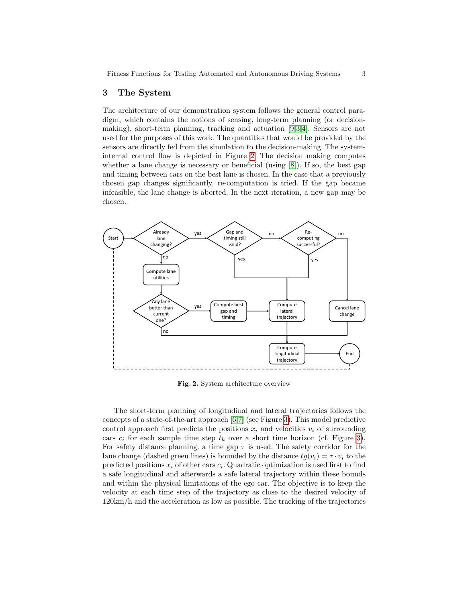#### 3 The System

The architecture of our demonstration system follows the general control paradigm, which contains the notions of sensing, long-term planning (or decisionmaking), short-term planning, tracking and actuation [\[9](#page-6-3)[,3,](#page-6-4)[4\]](#page-6-5). Sensors are not used for the purposes of this work. The quantities that would be provided by the sensors are directly fed from the simulation to the decision-making. The systeminternal control flow is depicted in Figure [2.](#page-2-0) The decision making computes whether a lane change is necessary or beneficial (using  $[8]$ ). If so, the best gap and timing between cars on the best lane is chosen. In the case that a previously chosen gap changes significantly, re-computation is tried. If the gap became infeasible, the lane change is aborted. In the next iteration, a new gap may be chosen.



<span id="page-2-0"></span>Fig. 2. System architecture overview

The short-term planning of longitudinal and lateral trajectories follows the concepts of a state-of-the-art approach [\[6](#page-6-7)[,7\]](#page-6-8) (see Figure [3\)](#page-3-0). This model predictive control approach first predicts the positions  $x_i$  and velocities  $v_i$  of surrounding cars  $c_i$  for each sample time step  $t_k$  over a short time horizon (cf. Figure [3\)](#page-3-0). For safety distance planning, a time gap  $\tau$  is used. The safety corridor for the lane change (dashed green lines) is bounded by the distance  $tg(v_i) = \tau \cdot v_i$  to the predicted positions  $x_i$  of other cars  $c_i$ . Quadratic optimization is used first to find a safe longitudinal and afterwards a safe lateral trajectory within these bounds and within the physical limitations of the ego car. The objective is to keep the velocity at each time step of the trajectory as close to the desired velocity of 120km/h and the acceleration as low as possible. The tracking of the trajectories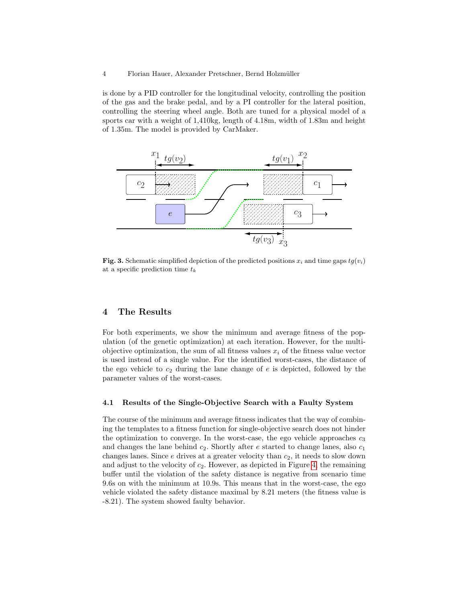#### 4 Florian Hauer, Alexander Pretschner, Bernd Holzmüller

is done by a PID controller for the longitudinal velocity, controlling the position of the gas and the brake pedal, and by a PI controller for the lateral position, controlling the steering wheel angle. Both are tuned for a physical model of a sports car with a weight of 1,410kg, length of 4.18m, width of 1.83m and height of 1.35m. The model is provided by CarMaker.



<span id="page-3-0"></span>Fig. 3. Schematic simplified depiction of the predicted positions  $x_i$  and time gaps  $tg(v_i)$ at a specific prediction time  $t_k$ 

## 4 The Results

For both experiments, we show the minimum and average fitness of the population (of the genetic optimization) at each iteration. However, for the multiobjective optimization, the sum of all fitness values  $x_i$  of the fitness value vector is used instead of a single value. For the identified worst-cases, the distance of the ego vehicle to  $c_2$  during the lane change of  $e$  is depicted, followed by the parameter values of the worst-cases.

#### 4.1 Results of the Single-Objective Search with a Faulty System

The course of the minimum and average fitness indicates that the way of combining the templates to a fitness function for single-objective search does not hinder the optimization to converge. In the worst-case, the ego vehicle approaches  $c_3$ and changes the lane behind  $c_2$ . Shortly after e started to change lanes, also  $c_1$ changes lanes. Since  $e$  drives at a greater velocity than  $c_2$ , it needs to slow down and adjust to the velocity of  $c_2$ . However, as depicted in Figure [4,](#page-4-0) the remaining buffer until the violation of the safety distance is negative from scenario time 9.6s on with the minimum at 10.9s. This means that in the worst-case, the ego vehicle violated the safety distance maximal by 8.21 meters (the fitness value is -8.21). The system showed faulty behavior.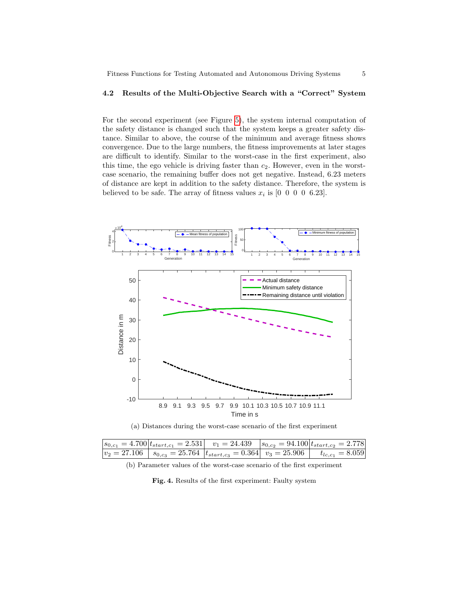#### 4.2 Results of the Multi-Objective Search with a "Correct" System

For the second experiment (see Figure [5\)](#page-5-0), the system internal computation of the safety distance is changed such that the system keeps a greater safety distance. Similar to above, the course of the minimum and average fitness shows convergence. Due to the large numbers, the fitness improvements at later stages are difficult to identify. Similar to the worst-case in the first experiment, also this time, the ego vehicle is driving faster than  $c_2$ . However, even in the worstcase scenario, the remaining buffer does not get negative. Instead, 6.23 meters of distance are kept in addition to the safety distance. Therefore, the system is believed to be safe. The array of fitness values  $x_i$  is  $[0 \ 0 \ 0 \ 0 \ 6.23]$ .





|  |  | $s_{0,c_1} = 4.700  t_{start,c_1} = 2.531 $ $v_1 = 24.439$ $ s_{0,c_2} = 94.100 t_{start,c_2} = 2.778 $                       |
|--|--|-------------------------------------------------------------------------------------------------------------------------------|
|  |  | $v_2 = 27.106$ $\begin{array}{ l} s_{0,c_3} = 25.764 & t_{start,c_3} = 0.364 & v_3 = 25.906 & t_{lc,c_1} = 8.059 \end{array}$ |

(b) Parameter values of the worst-case scenario of the first experiment

<span id="page-4-0"></span>Fig. 4. Results of the first experiment: Faulty system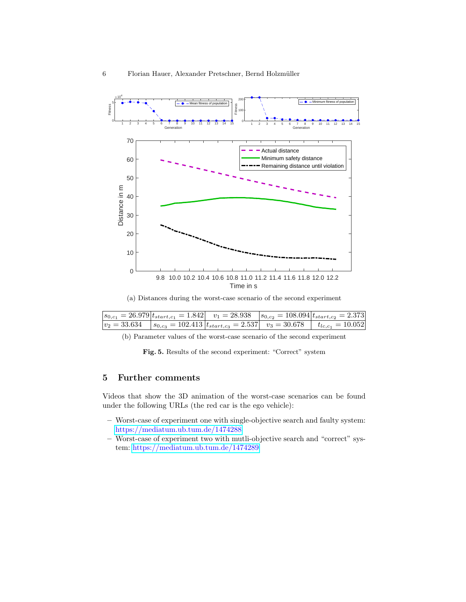

(a) Distances during the worst-case scenario of the second experiment

| $ s_{0,c_1}=26.979 t_{start,c_1}=1.842 $ $v_1=28.938$ $ s_{0,c_2}=108.094 t_{start,c_2}=2.373 $     |  |  |
|-----------------------------------------------------------------------------------------------------|--|--|
| $ v_2 = 33.634$ $ s_{0,c_3} = 102.413 t_{start,c_3} = 2.537 $ $v_3 = 30.678$ $ t_{lc,c_1} = 10.052$ |  |  |

(b) Parameter values of the worst-case scenario of the second experiment

<span id="page-5-0"></span>Fig. 5. Results of the second experiment: "Correct" system

## 5 Further comments

Videos that show the 3D animation of the worst-case scenarios can be found under the following URLs (the red car is the ego vehicle):

- Worst-case of experiment one with single-objective search and faulty system: <https://mediatum.ub.tum.de/1474288>
- Worst-case of experiment two with mutli-objective search and "correct" system: <https://mediatum.ub.tum.de/1474289>